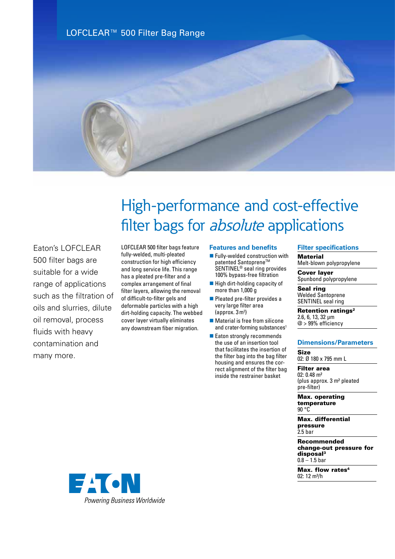



# High-performance and cost-effective filter bags for *absolute* applications

Eaton's LOFCLEAR 500 filter bags are suitable for a wide range of applications such as the filtration of oils and slurries, dilute oil removal, process fluids with heavy contamination and many more.

LOFCLEAR 500 filter bags feature fully-welded, multi-pleated construction for high efficiency and long service life. This range has a pleated pre-filter and a complex arrangement of final filter layers, allowing the removal of difficult-to-filter gels and deformable particles with a high dirt-holding capacity. The webbed cover layer virtually eliminates any downstream fiber migration.

## **Features and benefits**

- $\blacksquare$  Fully-welded construction with patented Santoprene<sup>™</sup> SENTINEL® seal ring provides 100% bypass-free filtration
- $\blacksquare$  High dirt-holding capacity of more than 1,000 g
- **n** Pleated pre-filter provides a very large filter area (approx. 3m<sup>2</sup> )
- $\blacksquare$  Material is free from silicone and crater-forming substances<sup>1</sup>
- Eaton strongly recommends the use of an insertion tool that facilitates the insertion of the filter bag into the bag filter housing and ensures the correct alignment of the filter bag inside the restrainer basket

### **Filter specifications**

**Material** Melt-blown polypropylene

Cover layer Spunbond polypropylene

Seal ring Welded Santoprene SENTINEL seal ring

Retention ratings<sup>2</sup> 2.6, 6, 13, 32 µm @ > 99% efficiency

### **Dimensions/Parameters**

Size 02: Ø 180 x 795 mm L

Filter area 02: 0.48 m² (plus approx. 3 m² pleated pre-filter)

Max. operating temperature 90 °C

Max. differential pressure 2.5 bar

Recommended change-out pressure for disposal3  $0.8 - 1.5$  bar

Max. flow rates<sup>4</sup> 02:  $12 \text{ m}^3/h$